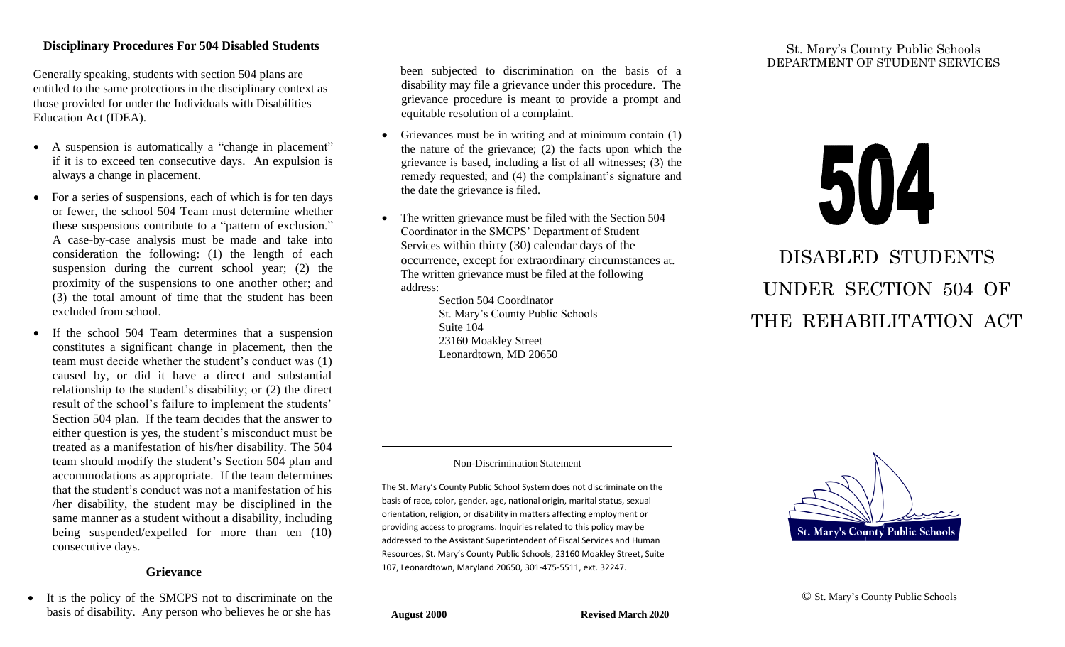#### **Disciplinary Procedures For 504 Disabled Students**

Generally speaking, students with section 504 plans are entitled to the same protections in the disciplinary context as those provided for under the Individuals with Disabilities Education Act (IDEA).

- A suspension is automatically a "change in placement" if it is to exceed ten consecutive days. An expulsion is always a change in placement.
- For a series of suspensions, each of which is for ten days or fewer, the school 504 Team must determine whether these suspensions contribute to a "pattern of exclusion." A case-by-case analysis must be made and take into consideration the following: (1) the length of each suspension during the current school year; (2) the proximity of the suspensions to one another other; and (3) the total amount of time that the student has been excluded from school.
- If the school 504 Team determines that a suspension constitutes a significant change in placement, then the team must decide whether the student's conduct was (1) caused by, or did it have a direct and substantial relationship to the student's disability; or (2) the direct result of the school's failure to implement the students' Section 504 plan. If the team decides that the answer to either question is yes, the student's misconduct must be treated as a manifestation of his/her disability. The 504 team should modify the student's Section 504 plan and accommodations as appropriate. If the team determines that the student's conduct was not a manifestation of his /her disability, the student may be disciplined in the same manner as a student without a disability, including being suspended/expelled for more than ten (10) consecutive days.

#### **Grievance**

• It is the policy of the SMCPS not to discriminate on the basis of disability. Any person who believes he or she has

 been subjected to discrimination on the basis of a disability may file a grievance under this procedure. The grievance procedure is meant to provide a prompt and equitable resolution of a complaint.

- Grievances must be in writing and at minimum contain (1) the nature of the grievance; (2) the facts upon which the grievance is based, including a list of all witnesses; (3) the remedy requested; and (4) the complainant's signature and the date the grievance is filed.
- The written grievance must be filed with the Section 504 Coordinator in the SMCPS' Department of Student Services within thirty (30) calendar days of the occurrence, except for extraordinary circumstances at. The written grievance must be filed at the following address:

Section 504 Coordinator St. Mary's County Public Schools Suite 104 23160 Moakley Street Leonardtown, MD 20650

# St. Mary's County Public Schools DEPARTMENT OF STUDENT SERVICES

# 504

DISABLED STUDENTS UNDER SECTION 504 OF THE REHABILITATION ACT

#### Non-Discrimination Statement

The St. Mary's County Public School System does not discriminate on the basis of race, color, gender, age, national origin, marital status, sexual orientation, religion, or disability in matters affecting employment or providing access to programs. Inquiries related to this policy may be addressed to the Assistant Superintendent of Fiscal Services and Human Resources, St. Mary's County Public Schools, 23160 Moakley Street, Suite 107, Leonardtown, Maryland 20650, 301-475-5511, ext. 32247.